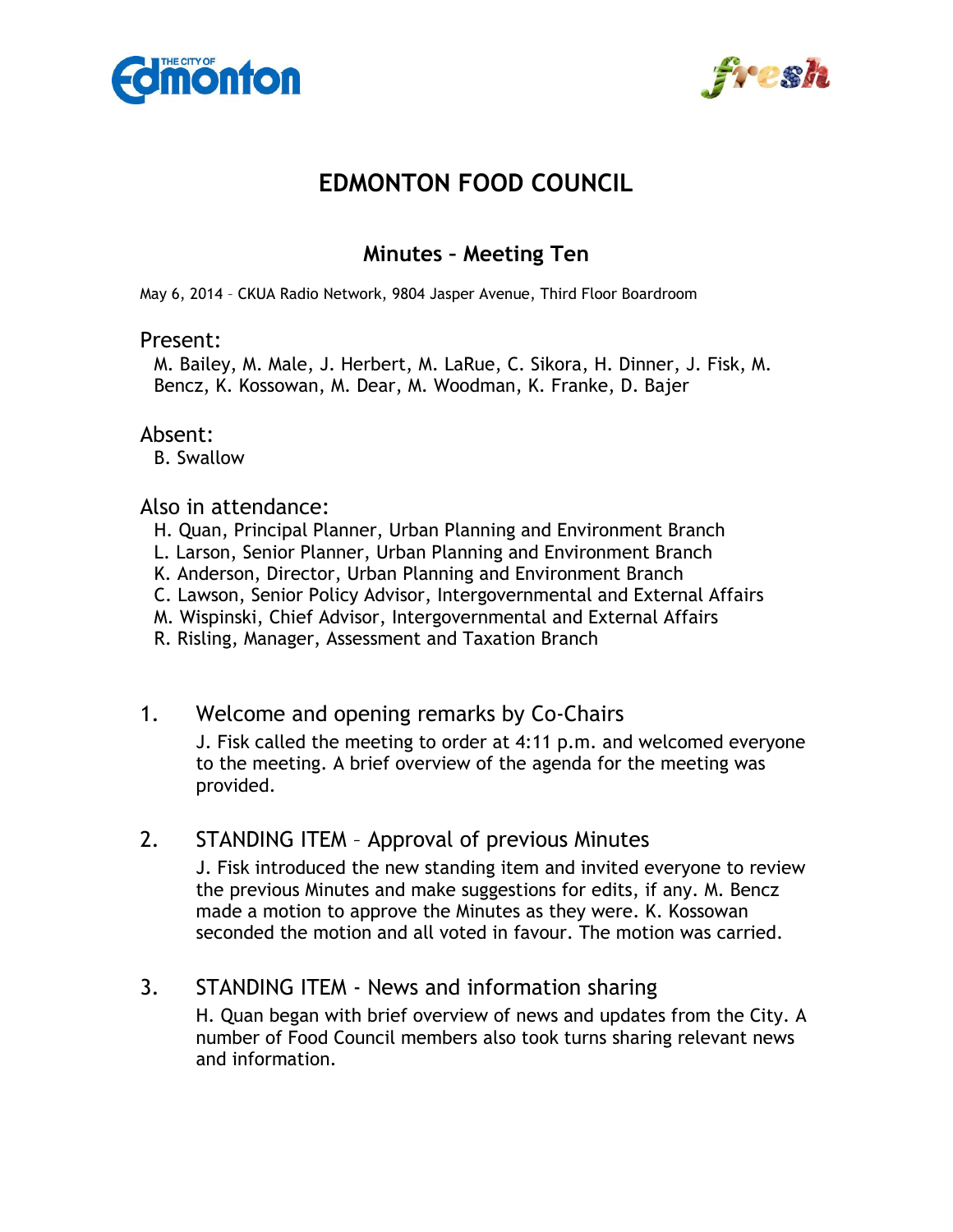



# **EDMONTON FOOD COUNCIL**

## **Minutes – Meeting Ten**

May 6, 2014 – CKUA Radio Network, 9804 Jasper Avenue, Third Floor Boardroom

#### Present:

M. Bailey, M. Male, J. Herbert, M. LaRue, C. Sikora, H. Dinner, J. Fisk, M. Bencz, K. Kossowan, M. Dear, M. Woodman, K. Franke, D. Bajer

#### Absent:

B. Swallow

#### Also in attendance:

- H. Quan, Principal Planner, Urban Planning and Environment Branch
- L. Larson, Senior Planner, Urban Planning and Environment Branch
- K. Anderson, Director, Urban Planning and Environment Branch
- C. Lawson, Senior Policy Advisor, Intergovernmental and External Affairs
- M. Wispinski, Chief Advisor, Intergovernmental and External Affairs
- R. Risling, Manager, Assessment and Taxation Branch

### 1. Welcome and opening remarks by Co-Chairs

J. Fisk called the meeting to order at 4:11 p.m. and welcomed everyone to the meeting. A brief overview of the agenda for the meeting was provided.

### 2. STANDING ITEM – Approval of previous Minutes

J. Fisk introduced the new standing item and invited everyone to review the previous Minutes and make suggestions for edits, if any. M. Bencz made a motion to approve the Minutes as they were. K. Kossowan seconded the motion and all voted in favour. The motion was carried.

### 3. STANDING ITEM - News and information sharing

H. Quan began with brief overview of news and updates from the City. A number of Food Council members also took turns sharing relevant news and information.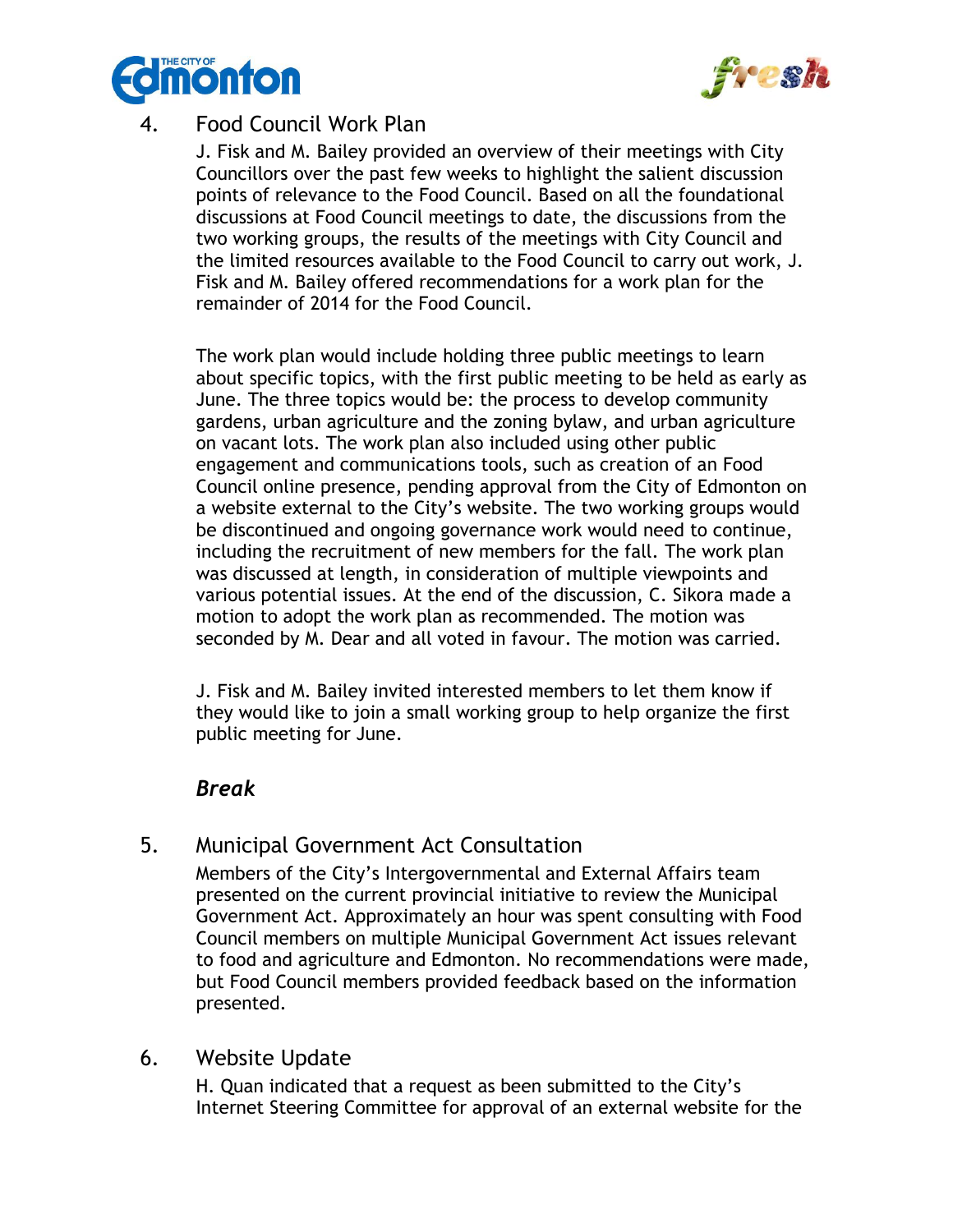



## 4. Food Council Work Plan

J. Fisk and M. Bailey provided an overview of their meetings with City Councillors over the past few weeks to highlight the salient discussion points of relevance to the Food Council. Based on all the foundational discussions at Food Council meetings to date, the discussions from the two working groups, the results of the meetings with City Council and the limited resources available to the Food Council to carry out work, J. Fisk and M. Bailey offered recommendations for a work plan for the remainder of 2014 for the Food Council.

The work plan would include holding three public meetings to learn about specific topics, with the first public meeting to be held as early as June. The three topics would be: the process to develop community gardens, urban agriculture and the zoning bylaw, and urban agriculture on vacant lots. The work plan also included using other public engagement and communications tools, such as creation of an Food Council online presence, pending approval from the City of Edmonton on a website external to the City's website. The two working groups would be discontinued and ongoing governance work would need to continue, including the recruitment of new members for the fall. The work plan was discussed at length, in consideration of multiple viewpoints and various potential issues. At the end of the discussion, C. Sikora made a motion to adopt the work plan as recommended. The motion was seconded by M. Dear and all voted in favour. The motion was carried.

J. Fisk and M. Bailey invited interested members to let them know if they would like to join a small working group to help organize the first public meeting for June.

## *Break*

## 5. Municipal Government Act Consultation

Members of the City's Intergovernmental and External Affairs team presented on the current provincial initiative to review the Municipal Government Act. Approximately an hour was spent consulting with Food Council members on multiple Municipal Government Act issues relevant to food and agriculture and Edmonton. No recommendations were made, but Food Council members provided feedback based on the information presented.

### 6. Website Update

H. Quan indicated that a request as been submitted to the City's Internet Steering Committee for approval of an external website for the